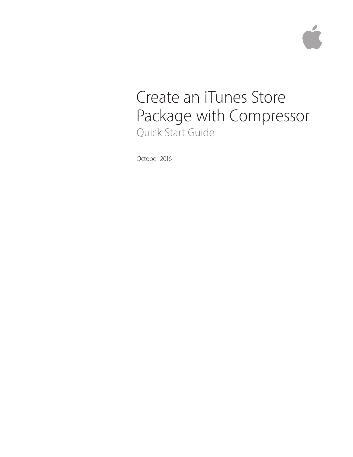# Create an iTunes Store Package with Compressor Quick Start Guide

October 2016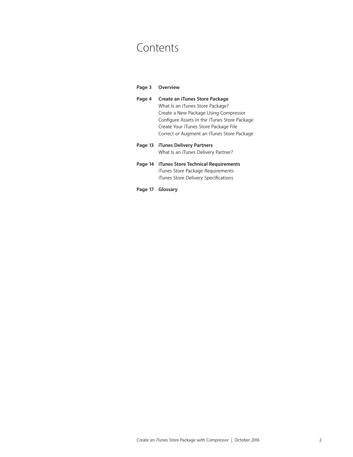# Contents

| Page 3  | <b>Overview</b>                                                                                                                                                                                                                                    |
|---------|----------------------------------------------------------------------------------------------------------------------------------------------------------------------------------------------------------------------------------------------------|
| Page 4  | Create an iTunes Store Package<br>What Is an iTunes Store Package?<br>Create a New Package Using Compressor<br>Configure Assets in the iTunes Store Package<br>Create Your iTunes Store Package File<br>Correct or Augment an iTunes Store Package |
| Page 13 | <b>iTunes Delivery Partners</b><br>What Is an iTunes Delivery Partner?                                                                                                                                                                             |
|         | Page 14 iTunes Store Technical Requirements<br>iTunes Store Package Requirements<br>iTunes Store Delivery Specifications                                                                                                                           |
|         | Page 17 Glossary                                                                                                                                                                                                                                   |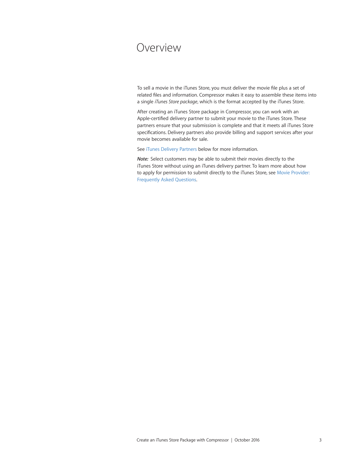# <span id="page-2-0"></span>Overview

To sell a movie in the iTunes Store, you must deliver the movie file plus a set of related files and information. Compressor makes it easy to assemble these items into a single *iTunes Store package*, which is the format accepted by the iTunes Store.

After creating an iTunes Store package in Compressor, you can work with an Apple‑certified delivery partner to submit your movie to the iTunes Store. These partners ensure that your submission is complete and that it meets all iTunes Store specifications. Delivery partners also provide billing and support services after your movie becomes available for sale.

See [iTunes Delivery Partners](#page-12-1) below for more information.

*Note:* Select customers may be able to submit their movies directly to the iTunes Store without using an iTunes delivery partner. To learn more about how to apply for permission to submit directly to the iTunes Store, see [Movie Provider:](http://www.apple.com/itunes/working-itunes/sell-content/movie-faq.html)  [Frequently Asked](http://www.apple.com/itunes/working-itunes/sell-content/movie-faq.html) Questions.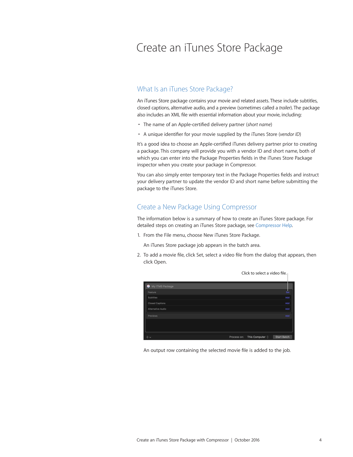# <span id="page-3-0"></span>Create an iTunes Store Package

# What Is an iTunes Store Package?

An iTunes Store package contains your movie and related assets. These include subtitles, closed captions, alternative audio, and a preview (sometimes called a *trailer*). The package also includes an XML file with essential information about your movie, including:

- The name of an Apple-certified delivery partner (*short name*)
- A unique identifier for your movie supplied by the iTunes Store (*vendor ID*)

It's a good idea to choose an Apple-certified iTunes delivery partner prior to creating a package. This company will provide you with a vendor ID and short name, both of which you can enter into the Package Properties fields in the iTunes Store Package inspector when you create your package in Compressor.

You can also simply enter temporary text in the Package Properties fields and instruct your delivery partner to update the vendor ID and short name before submitting the package to the iTunes Store.

# Create a New Package Using Compressor

The information below is a summary of how to create an iTunes Store package. For detailed steps on creating an iTunes Store package, see [Compressor Help](https://help.apple.com/compressor/mac/#/).

1. From the File menu, choose New iTunes Store Package.

An iTunes Store package job appears in the batch area.

2. To add a movie file, click Set, select a video file from the dialog that appears, then click Open.



An output row containing the selected movie file is added to the job.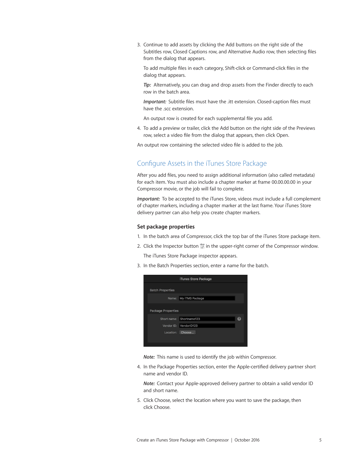<span id="page-4-0"></span>3. Continue to add assets by clicking the Add buttons on the right side of the Subtitles row, Closed Captions row, and Alternative Audio row, then selecting files from the dialog that appears.

To add multiple files in each category, Shift-click or Command-click files in the dialog that appears.

*Tip:* Alternatively, you can drag and drop assets from the Finder directly to each row in the batch area.

*Important:* Subtitle files must have the .itt extension. Closed-caption files must have the .scc extension.

An output row is created for each supplemental file you add.

4. To add a preview or trailer, click the Add button on the right side of the Previews row, select a video file from the dialog that appears, then click Open.

An output row containing the selected video file is added to the job.

# Configure Assets in the iTunes Store Package

After you add files, you need to assign additional information (also called metadata) for each item. You must also include a chapter marker at frame 00.00.00.00 in your Compressor movie, or the job will fail to complete.

*Important:* To be accepted to the iTunes Store, videos must include a full complement of chapter markers, including a chapter marker at the last frame. Your iTunes Store delivery partner can also help you create chapter markers.

### **Set package properties**

- 1. In the batch area of Compressor, click the top bar of the iTunes Store package item.
- 2. Click the Inspector button  $\frac{1}{\sqrt{2}}$  in the upper-right corner of the Compressor window. The iTunes Store Package inspector appears.
- 3. In the Batch Properties section, enter a name for the batch.

|                           | iTunes Store Package |   |
|---------------------------|----------------------|---|
| <b>Batch Properties</b>   |                      |   |
| Name:                     | My iTMS Package      |   |
| <b>Package Properties</b> |                      |   |
| Short name:               | Shortname123         | ? |
| Vendor ID:                | VendorID123          |   |
| Location:                 | Choose               |   |
|                           |                      |   |

*Note:* This name is used to identify the job within Compressor.

4. In the Package Properties section, enter the Apple-certified delivery partner short name and vendor ID.

*Note:* Contact your Apple-approved delivery partner to obtain a valid vendor ID and short name.

5. Click Choose, select the location where you want to save the package, then click Choose.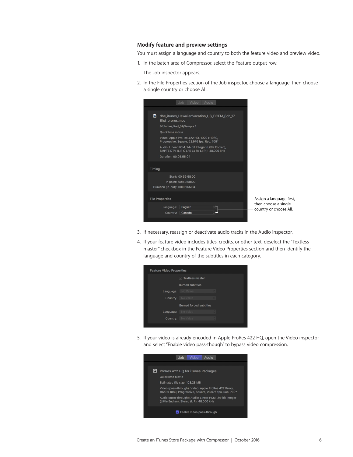#### **Modify feature and preview settings**

You must assign a language and country to both the feature video and preview video.

1. In the batch area of Compressor, select the Feature output row.

The Job inspector appears.

2. In the File Properties section of the Job inspector, choose a language, then choose a single country or choose All.



- 3. If necessary, reassign or deactivate audio tracks in the Audio inspector.
- 4. If your feature video includes titles, credits, or other text, deselect the "Textless master" checkbox in the Feature Video Properties section and then identify the language and country of the subtitles in each category.



5. If your video is already encoded in Apple ProRes 422 HQ, open the Video inspector and select "Enable video pass-though" to bypass video compression.

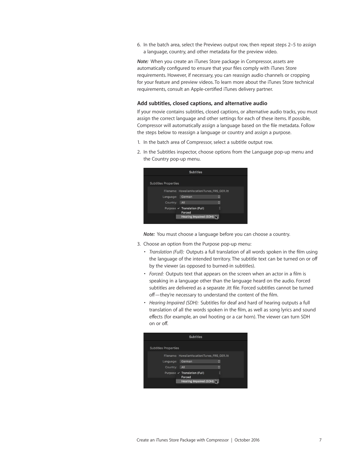6. In the batch area, select the Previews output row, then repeat steps 2–5 to assign a language, country, and other metadata for the preview video.

*Note:* When you create an iTunes Store package in Compressor, assets are automatically configured to ensure that your files comply with iTunes Store requirements. However, if necessary, you can reassign audio channels or cropping for your feature and preview videos. To learn more about the iTunes Store technical requirements, consult an Apple-certified iTunes delivery partner.

#### **Add subtitles, closed captions, and alternative audio**

If your movie contains subtitles, closed captions, or alternative audio tracks, you must assign the correct language and other settings for each of these items. If possible, Compressor will automatically assign a language based on the file metadata. Follow the steps below to reassign a language or country and assign a purpose.

- 1. In the batch area of Compressor, select a subtitle output row.
- 2. In the Subtitles inspector, choose options from the Language pop-up menu and the Country pop-up menu.

| <b>Subtitles</b>            |                                              |  |  |
|-----------------------------|----------------------------------------------|--|--|
| <b>Subtitles Properties</b> |                                              |  |  |
|                             | Filename: HawaiianVacationiTunes_FRS_GER.itt |  |  |
| Language:                   | German                                       |  |  |
| Country:                    | All                                          |  |  |
|                             | Purpose v Translation (Full)<br>Forced       |  |  |
|                             | Hearing Impaired (SDH) $\sum$                |  |  |
|                             |                                              |  |  |

*Note:* You must choose a language before you can choose a country.

- 3. Choose an option from the Purpose pop-up menu:
	- *Translation (Full):* Outputs a full translation of all words spoken in the film using the language of the intended territory. The subtitle text can be turned on or off by the viewer (as opposed to burned-in subtitles).
	- *Forced:* Outputs text that appears on the screen when an actor in a film is speaking in a language other than the language heard on the audio. Forced subtitles are delivered as a separate .itt file. Forced subtitles cannot be turned off—they're necessary to understand the content of the film.
	- *Hearing Impaired (SDH):* Subtitles for deaf and hard of hearing outputs a full translation of all the words spoken in the film, as well as song lyrics and sound effects (for example, an owl hooting or a car horn). The viewer can turn SDH on or off.

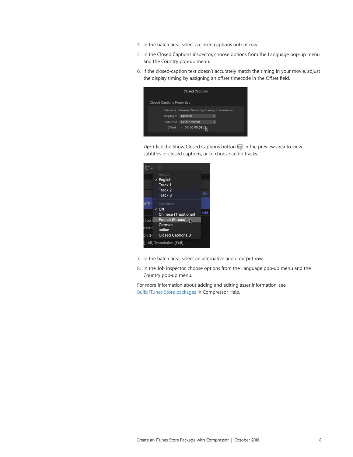- 4. In the batch area, select a closed captions output row.
- 5. In the Closed Captions inspector, choose options from the Language pop-up menu and the Country pop-up menu.
- 6. If the closed-caption text doesn't accurately match the timing in your movie, adjust the display timing by assigning an offset timecode in the Offset field.

|                                   | <b>Closed Captions</b>                          |   |  |  |  |
|-----------------------------------|-------------------------------------------------|---|--|--|--|
| <b>Closed Captions Properties</b> |                                                 |   |  |  |  |
|                                   | Filename: HawaiianVacation_iTunes_conformed.scc |   |  |  |  |
| Language:                         | Spanish                                         | ٥ |  |  |  |
| Country:                          | Latin America                                   | Ć |  |  |  |
| Offset:                           | 00:00:00;02                                     |   |  |  |  |
|                                   |                                                 |   |  |  |  |

*Tip*: Click the Show Closed Captions button **in** the preview area to view subtitles or closed captions, or to choose audio tracks.

|        | $[==]$                      |     |
|--------|-----------------------------|-----|
|        | Audio                       |     |
|        | $\vee$ English              |     |
|        | Track 1                     |     |
|        | Track 2                     | Set |
|        | Track 3                     |     |
| 976 f  | Subtitles                   |     |
|        | Off                         |     |
|        | Chinese (Traditional)       | Add |
| ation  | French (France)<br>Ņ        |     |
| nslati | German<br>Italian           |     |
| on (F  | <b>Closed Captions 0</b>    |     |
|        | I), All, Translation (Full) |     |

- 7. In the batch area, select an alternative audio output row.
- 8. In the Job inspector, choose options from the Language pop-up menu and the Country pop-up menu.

For more information about adding and editing asset information, see Build iTunes [Store packages](https://help.apple.com/compressor/mac/#/cpsr5af2453d) in Compressor Help.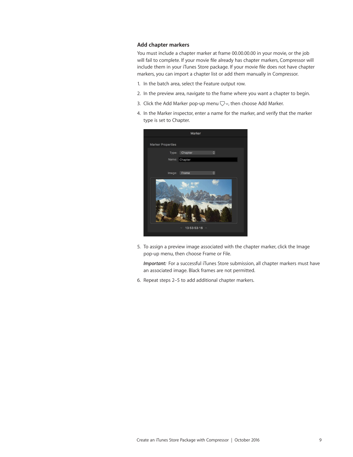### **Add chapter markers**

You must include a chapter marker at frame 00.00.00.00 in your movie, or the job will fail to complete. If your movie file already has chapter markers, Compressor will include them in your iTunes Store package. If your movie file does not have chapter markers, you can import a chapter list or add them manually in Compressor.

- 1. In the batch area, select the Feature output row.
- 2. In the preview area, navigate to the frame where you want a chapter to begin.
- 3. Click the Add Marker pop-up menu  $\bigtriangledown \vee$ , then choose Add Marker.
- 4. In the Marker inspector, enter a name for the marker, and verify that the marker type is set to Chapter.



5. To assign a preview image associated with the chapter marker, click the Image pop-up menu, then choose Frame or File.

*Important:* For a successful iTunes Store submission, all chapter markers must have an associated image. Black frames are not permitted.

6. Repeat steps 2–5 to add additional chapter markers.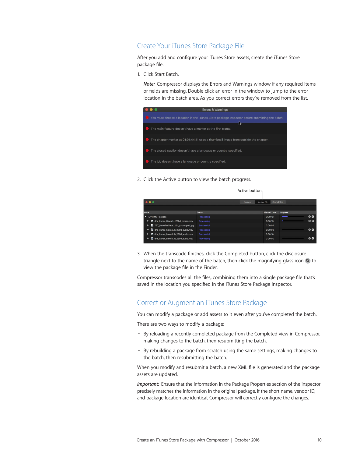# <span id="page-9-0"></span>Create Your iTunes Store Package File

After you add and configure your iTunes Store assets, create the iTunes Store package file.

1. Click Start Batch.

*Note:* Compressor displays the Errors and Warnings window if any required items or fields are missing. Double click an error in the window to jump to the error location in the batch area. As you correct errors they're removed from the list.

| Errors & Warnings                                                                                            |
|--------------------------------------------------------------------------------------------------------------|
| <b>1.</b> You must choose a location in the iTunes Store package inspector before submitting the batch.<br>ℕ |
| The main feature doesn't have a marker at the first frame.                                                   |
| The chapter marker at 01:01:44:11 uses a thumbnail image from outside the chapter.                           |
| The closed caption doesn't have a language or country specified.                                             |
| The job doesn't have a language or country specified.                                                        |

2. Click the Active button to view the batch progress.

Active button

| $\bullet\bullet\bullet$                      |               | Active (1)<br>Current | Completed           |                 |    |
|----------------------------------------------|---------------|-----------------------|---------------------|-----------------|----|
|                                              |               |                       |                     |                 |    |
| Name                                         | <b>Status</b> |                       | <b>Elapsed Time</b> | <b>Progress</b> |    |
| ▼ My iTMS Package                            | Processing    |                       | 0:00:12             |                 | 0Q |
| ▶ <b>b</b> dhe itunes Hawaii178hd prores.mov | Processing    |                       | 0:00:13             | ٠               | 0Q |
| TST HawaiianVacaL01 c-cropped.ipg            | Successful    |                       | 0:00:04             |                 |    |
| ▶ <b>b</b> dhe itunes hawaiih 2398 audio.mov | Processing    |                       | 0:00:08             |                 | 0Q |
| dhe itunes hawaiih 2398 audio.mov<br>ъ.      | Successful    |                       | 0:00:10             |                 |    |
| dhe itunes hawaiih 2398 audio.mov            | Processing    |                       | 0:00:00             |                 | 00 |

3. When the transcode finishes, click the Completed button, click the disclosure triangle next to the name of the batch, then click the magnifying glass icon  $Q$  to view the package file in the Finder.

Compressor transcodes all the files, combining them into a single package file that's saved in the location you specified in the iTunes Store Package inspector.

## Correct or Augment an iTunes Store Package

You can modify a package or add assets to it even after you've completed the batch.

There are two ways to modify a package:

- By reloading a recently completed package from the Completed view in Compressor, making changes to the batch, then resubmitting the batch.
- By rebuilding a package from scratch using the same settings, making changes to the batch, then resubmitting the batch.

When you modify and resubmit a batch, a new XML file is generated and the package assets are updated.

*Important:* Ensure that the information in the Package Properties section of the inspector precisely matches the information in the original package. If the short name, vendor ID, and package location are identical, Compressor will correctly configure the changes.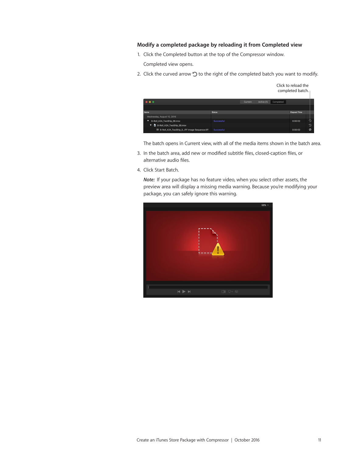### **Modify a completed package by reloading it from Completed view**

- 1. Click the Completed button at the top of the Compressor window. Completed view opens.
- 2. Click the curved arrow  $\mathcal D$  to the right of the completed batch you want to modify.

|                                                      |               |                |            |           | Click to reload the<br>completed batch. |                       |
|------------------------------------------------------|---------------|----------------|------------|-----------|-----------------------------------------|-----------------------|
| $\bullet\bullet\bullet$                              |               | <b>Current</b> | Active (1) | Completed |                                         |                       |
|                                                      |               |                |            |           |                                         |                       |
| <b>Name</b>                                          | <b>Status</b> |                |            |           | <b>Elapsed Time</b>                     |                       |
| Wednesday, August 10, 2016                           |               |                |            |           |                                         |                       |
| B-Roll A2A TwoShip 38.mov<br>▼                       | Successful    |                |            |           | 0:00:02                                 | Đ                     |
| B-Roll A2A TwoShip 38,mov<br>$\overline{\mathbf{v}}$ |               |                |            |           |                                         | ာ                     |
| E B-Roll_A2A_TwoShip_3IFF Image Sequence.tiff        | Successful    |                |            |           | 0:00:02                                 | $\boldsymbol{\Omega}$ |

The batch opens in Current view, with all of the media items shown in the batch area.

- 3. In the batch area, add new or modified subtitle files, closed-caption files, or alternative audio files.
- 4. Click Start Batch.

*Note:* If your package has no feature video, when you select other assets, the preview area will display a missing media warning. Because you're modifying your package, you can safely ignore this warning.

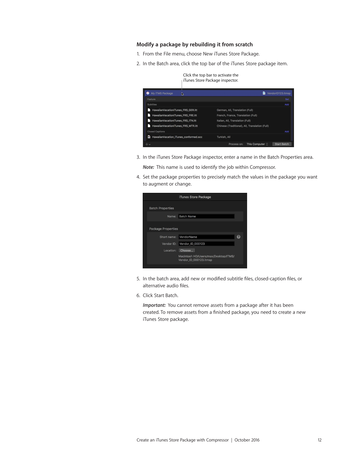### **Modify a package by rebuilding it from scratch**

- 1. From the File menu, choose New iTunes Store Package.
- 2. In the Batch area, click the top bar of the iTunes Store package item.



3. In the iTunes Store Package inspector, enter a name in the Batch Properties area.

*Note:* This name is used to identify the job within Compressor.

4. Set the package properties to precisely match the values in the package you want to augment or change.

|                           | iTunes Store Package                                           |   |
|---------------------------|----------------------------------------------------------------|---|
| <b>Batch Properties</b>   |                                                                |   |
| Name:                     | <b>Batch Name</b>                                              |   |
| <b>Package Properties</b> |                                                                |   |
| Short name:               | VendorName                                                     | 2 |
| Vendor ID:                | Vendor_ID_000123                                               |   |
| Location:                 | Choose                                                         |   |
|                           | Macintosh HD/Users/max/Desktop/ITMS/<br>Vendor_ID_000123.itmsp |   |
|                           |                                                                |   |

- 5. In the batch area, add new or modified subtitle files, closed-caption files, or alternative audio files.
- 6. Click Start Batch.

*Important:* You cannot remove assets from a package after it has been created. To remove assets from a finished package, you need to create a new iTunes Store package.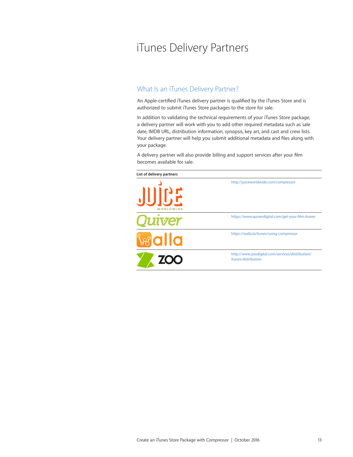# <span id="page-12-1"></span><span id="page-12-0"></span>iTunes Delivery Partners

# What Is an iTunes Delivery Partner?

An Apple-certified iTunes delivery partner is qualified by the iTunes Store and is authorized to submit iTunes Store packages to the store for sale.

In addition to validating the technical requirements of your iTunes Store package, a delivery partner will work with you to add other required metadata such as sale date, IMDB URL, distribution information, synopsis, key art, and cast and crew lists. Your delivery partner will help you submit additional metadata and files along with your package.

A delivery partner will also provide billing and support services after your film becomes available for sale.

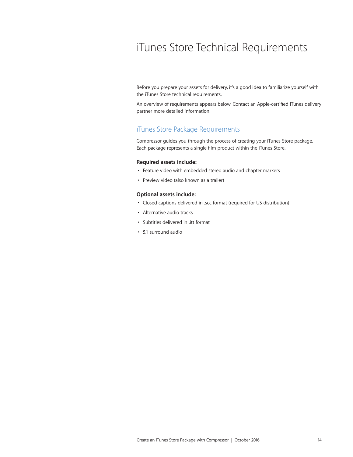# <span id="page-13-0"></span>iTunes Store Technical Requirements

Before you prepare your assets for delivery, it's a good idea to familiarize yourself with the iTunes Store technical requirements.

An overview of requirements appears below. Contact an Apple-certified iTunes delivery partner more detailed information.

# iTunes Store Package Requirements

Compressor guides you through the process of creating your iTunes Store package. Each package represents a single film product within the iTunes Store.

### **Required assets include:**

- Feature video with embedded stereo audio and chapter markers
- Preview video (also known as a trailer)

#### **Optional assets include:**

- Closed captions delivered in .scc format (required for US distribution)
- Alternative audio tracks
- Subtitles delivered in .itt format
- 5.1 surround audio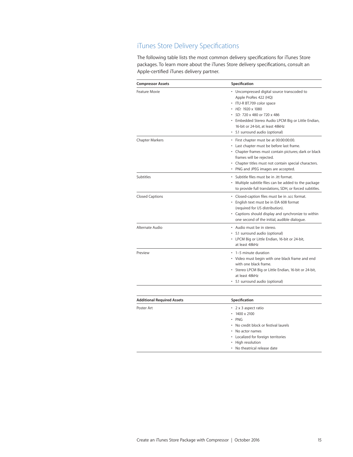# <span id="page-14-0"></span>iTunes Store Delivery Specifications

The following table lists the most common delivery specifications for iTunes Store packages. To learn more about the iTunes Store delivery specifications, consult an Apple-certified iTunes delivery partner.

| <b>Compressor Assets</b>          | Specification                                                                                                                                                                                                                                                                              |
|-----------------------------------|--------------------------------------------------------------------------------------------------------------------------------------------------------------------------------------------------------------------------------------------------------------------------------------------|
| Feature Movie                     | • Uncompressed digital source transcoded to<br>Apple ProRes 422 (HQ)<br>· ITU-R BT.709 color space<br>$\cdot$ HD: 1920 x 1080<br>• SD: 720 x 480 or 720 x 486<br>• Embedded Stereo Audio LPCM Big or Little Endian,<br>16-bit or 24-bit, at least 48kHz<br>• 5.1 surround audio (optional) |
| <b>Chapter Markers</b>            | · First chapter must be at 00:00:00:00.<br>• Last chapter must be before last frame.<br>• Chapter frames must contain pictures; dark or black<br>frames will be rejected.<br>• Chapter titles must not contain special characters.<br>• PNG and JPEG images are accepted.                  |
| Subtitles                         | · Subtitle files must be in .itt format.<br>Multiple subtitle files can be added to the package<br>to provide full translations, SDH, or forced subtitles.                                                                                                                                 |
| <b>Closed Captions</b>            | · Closed-caption files must be in .scc format.<br>• English text must be in EIA 608 format<br>(required for US distribution).<br>• Captions should display and synchronize to within<br>one second of the initial, audible dialogue.                                                       |
| Alternate Audio                   | • Audio must be in stereo.<br>• 5.1 surround audio (optional)<br>• LPCM Big or Little Endian, 16-bit or 24-bit,<br>at least 48kHz                                                                                                                                                          |
| Preview                           | • 1-5 minute duration<br>• Video must begin with one black frame and end<br>with one black frame.<br>• Stereo LPCM Big or Little Endian, 16-bit or 24-bit,<br>at least 48kHz<br>• 5.1 surround audio (optional)                                                                            |
| <b>Additional Required Assets</b> | Specification                                                                                                                                                                                                                                                                              |
| Poster Art                        | • 2 x 3 aspect ratio<br>1400 x 2100<br><b>PNG</b><br>No credit block or festival laurels                                                                                                                                                                                                   |

• No actor names

• High resolution • No theatrical release date

• Localized for foreign territories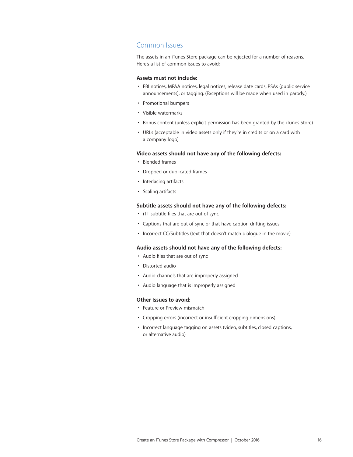### Common Issues

The assets in an iTunes Store package can be rejected for a number of reasons. Here's a list of common issues to avoid:

### **Assets must not include:**

- FBI notices, MPAA notices, legal notices, release date cards, PSAs (public service announcements), or tagging. (Exceptions will be made when used in parody.)
- Promotional bumpers
- Visible watermarks
- Bonus content (unless explicit permission has been granted by the iTunes Store)
- URLs (acceptable in video assets only if they're in credits or on a card with a company logo)

### **Video assets should not have any of the following defects:**

- Blended frames
- Dropped or duplicated frames
- Interlacing artifacts
- Scaling artifacts

### **Subtitle assets should not have any of the following defects:**

- iTT subtitle files that are out of sync
- Captions that are out of sync or that have caption drifting issues
- Incorrect CC/Subtitles (text that doesn't match dialogue in the movie)

### **Audio assets should not have any of the following defects:**

- Audio files that are out of sync
- Distorted audio
- Audio channels that are improperly assigned
- Audio language that is improperly assigned

#### **Other Issues to avoid:**

- Feature or Preview mismatch
- Cropping errors (incorrect or insufficient cropping dimensions)
- Incorrect language tagging on assets (video, subtitles, closed captions, or alternative audio)